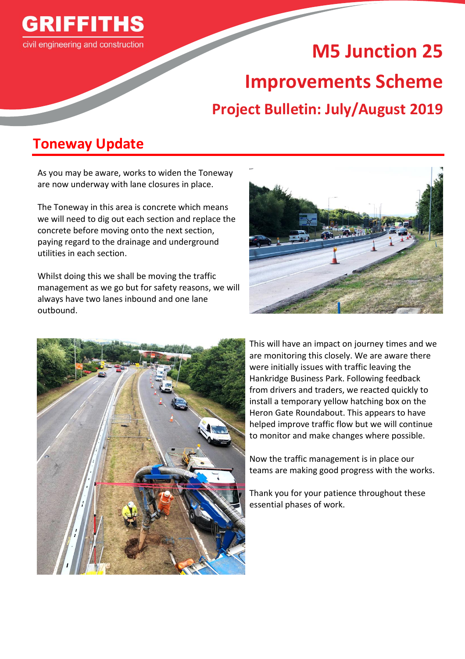

# **M5 Junction 25 Improvements Scheme Project Bulletin: July/August 2019**

# **Toneway Update**

As you may be aware, works to widen the Toneway are now underway with lane closures in place.

The Toneway in this area is concrete which means we will need to dig out each section and replace the concrete before moving onto the next section, paying regard to the drainage and underground utilities in each section.

Whilst doing this we shall be moving the traffic management as we go but for safety reasons, we will always have two lanes inbound and one lane outbound.





This will have an impact on journey times and we are monitoring this closely. We are aware there were initially issues with traffic leaving the Hankridge Business Park. Following feedback from drivers and traders, we reacted quickly to install a temporary yellow hatching box on the Heron Gate Roundabout. This appears to have helped improve traffic flow but we will continue to monitor and make changes where possible.

Now the traffic management is in place our teams are making good progress with the works.

Thank you for your patience throughout these essential phases of work.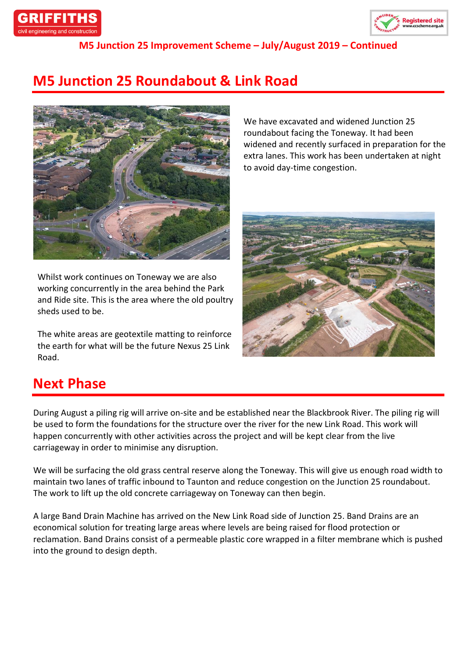



**M5 Junction 25 Improvement Scheme – July/August 2019 – Continued**

# **M5 Junction 25 Roundabout & Link Road**



Whilst work continues on Toneway we are also working concurrently in the area behind the Park and Ride site. This is the area where the old poultry sheds used to be.

The white areas are geotextile matting to reinforce the earth for what will be the future Nexus 25 Link Road.

We have excavated and widened Junction 25 roundabout facing the Toneway. It had been widened and recently surfaced in preparation for the extra lanes. This work has been undertaken at night to avoid day-time congestion.



### **Next Phase**

During August a piling rig will arrive on-site and be established near the Blackbrook River. The piling rig will be used to form the foundations for the structure over the river for the new Link Road. This work will happen concurrently with other activities across the project and will be kept clear from the live carriageway in order to minimise any disruption.

We will be surfacing the old grass central reserve along the Toneway. This will give us enough road width to maintain two lanes of traffic inbound to Taunton and reduce congestion on the Junction 25 roundabout. The work to lift up the old concrete carriageway on Toneway can then begin.

A large Band Drain Machine has arrived on the New Link Road side of Junction 25. Band Drains are an economical solution for treating large areas where levels are being raised for flood protection or reclamation. Band Drains consist of a permeable plastic core wrapped in a filter membrane which is pushed into the ground to design depth.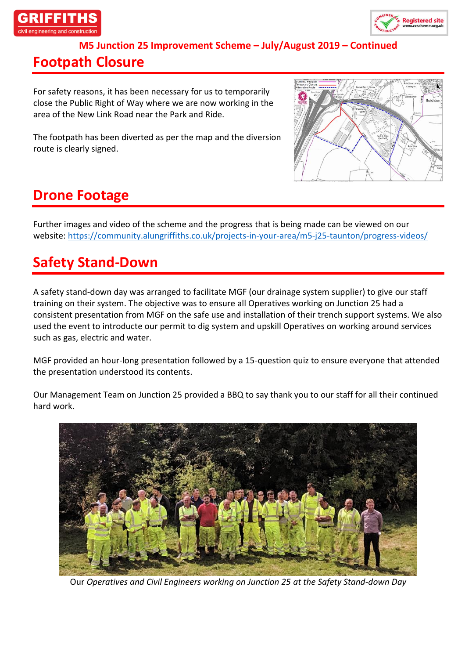



**M5 Junction 25 Improvement Scheme – July/August 2019 – Continued**

#### **Footpath Closure**

For safety reasons, it has been necessary for us to temporarily close the Public Right of Way where we are now working in the area of the New Link Road near the Park and Ride.

The footpath has been diverted as per the map and the diversion route is clearly signed.



# **Drone Footage**

Further images and video of the scheme and the progress that is being made can be viewed on our website:<https://community.alungriffiths.co.uk/projects-in-your-area/m5-j25-taunton/progress-videos/>

# **Safety Stand-Down**

A safety stand-down day was arranged to facilitate MGF (our drainage system supplier) to give our staff training on their system. The objective was to ensure all Operatives working on Junction 25 had a consistent presentation from MGF on the safe use and installation of their trench support systems. We also used the event to introducte our permit to dig system and upskill Operatives on working around services such as gas, electric and water.

MGF provided an hour-long presentation followed by a 15-question quiz to ensure everyone that attended the presentation understood its contents.

Our Management Team on Junction 25 provided a BBQ to say thank you to our staff for all their continued hard work.



Our *Operatives and Civil Engineers working on Junction 25 at the Safety Stand-down Day*